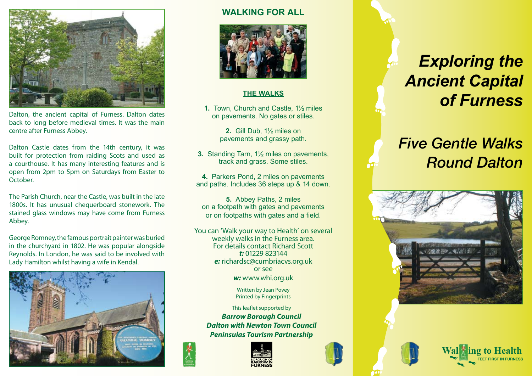

Dalton, the ancient capital of Furness. Dalton dates back to long before medieval times. It was the main centre after Furness Abbey.

Dalton Castle dates from the 14th century, it was built for protection from raiding Scots and used as a courthouse. It has many interesting features and is open from 2pm to 5pm on Saturdays from Easter to October.

The Parish Church, near the Castle, was built in the late 1800s. It has unusual chequerboard stonework. The stained glass windows may have come from Furness Abbey.

George Romney, the famous portrait painter was buried in the churchyard in 1802. He was popular alongside Reynolds. In London, he was said to be involved with Lady Hamilton whilst having a wife in Kendal.



### **WALKING FOR ALL**



#### **THE WALKS**

**1.** Town, Church and Castle, 1½ miles on pavements. No gates or stiles.

> **2.** Gill Dub, 1½ miles on pavements and grassy path.

**3.** Standing Tarn, 1½ miles on pavements, track and grass. Some stiles.

**4.** Parkers Pond, 2 miles on pavements and paths. Includes 36 steps up & 14 down.

**5.** Abbey Paths, 2 miles on a footpath with gates and pavements or on footpaths with gates and a field.

You can 'Walk your way to Health' on several weekly walks in the Furness area. For details contact Richard Scott *t:* 01229 823144 *e:* richardsc@cumbriacvs.org.uk or see *w:* www.whi.org.uk

> Written by Jean Povey Printed by Fingerprints

This leaflet supported by *Barrow Borough Council Dalton with Newton Town Council Peninsulas Tourism Partnership*



紫

# *Exploring the Ancient Capital of Furness*

## *Five Gentle Walks Round Dalton*